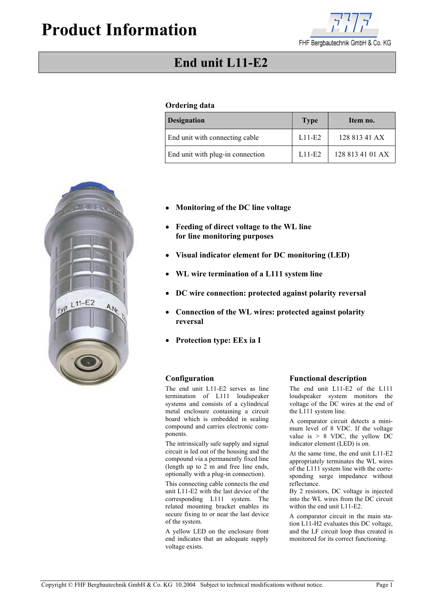# **Product Information**



## **End unit L11-E2**

## **Ordering data**

| <b>Designation</b>               | <b>Type</b> | Item no.         |
|----------------------------------|-------------|------------------|
| End unit with connecting cable   | $L11-E2$    | 128 813 41 AX    |
| End unit with plug-in connection | $L11-E2$    | 128 813 41 01 AX |

- **Monitoring of the DC line voltage**
- **Feeding of direct voltage to the WL line for line monitoring purposes**
- **Visual indicator element for DC monitoring (LED)**
- **WL wire termination of a L111 system line**
- **DC wire connection: protected against polarity reversal**
- **Connection of the WL wires: protected against polarity reversal**
- **Protection type: EEx ia I**

The end unit L11-E2 serves as line termination of L111 loudspeaker systems and consists of a cylindrical metal enclosure containing a circuit board which is embedded in sealing compound and carries electronic components.

The intrinsically safe supply and signal circuit is led out of the housing and the compound via a permanently fixed line (length up to 2 m and free line ends, optionally with a plug-in connection).

This connecting cable connects the end unit L11-E2 with the last device of the corresponding L111 system. The related mounting bracket enables its secure fixing to or near the last device of the system.

A yellow LED on the enclosure front end indicates that an adequate supply voltage exists.

### **Configuration Functional description**

The end unit L11-E2 of the L111 loudspeaker system monitors the voltage of the DC wires at the end of the L111 system line.

A comparator circuit detects a minimum level of 8 VDC. If the voltage value is  $> 8$  VDC, the yellow DC indicator element (LED) is on.

At the same time, the end unit L11-E2 appropriately terminates the WL wires of the L111 system line with the corresponding surge impedance without reflectance.

By 2 resistors, DC voltage is injected into the WL wires from the DC circuit within the end unit L11-E2.

A comparator circuit in the main station L11-H2 evaluates this DC voltage, and the LF circuit loop thus created is monitored for its correct functioning.